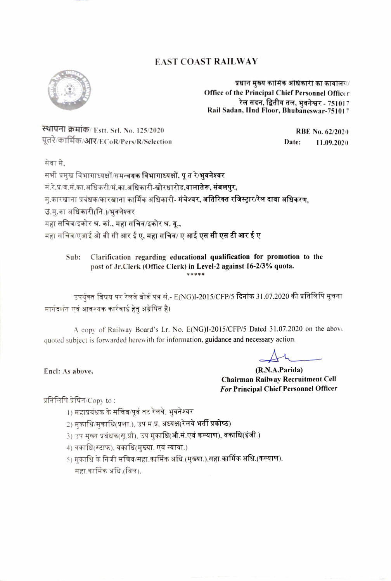## EAST COAST RAILWAY



प्रधान मुख्य कामिक अधिकारी का कार्यालय/ office of the Principal Chief Personnel Officer रेल सदन, द्वितीय तल, भवनेश्वर - 751017 Rail Sadan, lInd Floor, Bhubaneswar-751017

स्थापना क्रमांक/ Estt. Srl. No. 125/2020 पूतरे/कार्मिक/आर/ECoR/Pers/R/Selection

RBE No. 62/2020 Date: 11.09.2020

सेवा मे.

सभी प्रमुख विभागाध्यक्षों/समन्व**यक विभागाध्यक्षों, पु त रे/भवनेश्वर** मं.रे.प्र/व.मं.का.अधिकरी/मं.का.अधिकारी-खोरधारोड,वालातेरू, संबलपुर, म्.कारखाना प्रबंधक/कारखाना कार्मिक अधिकारी- मंचेश्वर, <mark>अतिरिक्त रजिस्ट्रार/रेल दावा अधिकरण,</mark> उ.सु.का अधि<mark>कारी(नि.)/भुवनेश्वर</mark><br>महा सचिव/इकोर श्र. कां.**. महा सचिव/इकोर श्र. यू.,** महा सचिव/एआई ओ बी सी आर ई ए. महा सचिव/ ए आई ए<mark>स सी एस टी आर ई ए</mark>

Clarification regarding educational qualification for promotion to the post of Jr.Clerk (Office Clerk) in Level-2 against 16-2/3% quota. Sub: \*\*\*\*\*

उपर्युक्त विषय पर रेलवे बोर्ड पत्र सं.- E(NG)I-2015/CFP/5 दिनांक 31.07.2020 की प्रतिलिपि सूचना मार्गदर्शन एवं आवश्यक कार्रवाई हेतु अग्रेषित है।

A copy of Railway Board's Lr. No. E(NG)I-2015/CFP/5 Dated 31.07.2020 on the abov quoted subject is forwarded herewith for information, guidance and necessary action.

 $\overrightarrow{v}$ 

(R.N.A.Parida) Chairman Railway Recruitment Cell For Principal Chief Personnel Officer

Encl: As above,

प्रतिलिपि प्रेषित/ $Copy$  to:

- 1) महाप्रबंधक के सचिव/पूर्व तट रेलवे, भुवनेश्वर
- 
- 2) मुकाधि/मुकाधि(प्रशा.), उप म.प्र, अध्यक्ष(रेलवे <mark>भर्ती प्रकोष्ठ)</mark><br>3) उप मुख्य प्रबंधक(सू.प्रौ), उप मुकाधि(औ.सं.एवं कल्याण), वकाधि(इंजी.)
- 
- 4) वकाधि(स्टाफ), वकाधि(मुख्या. एवं न्याया.)<br>5) मकाधि के निजी सचिव/सहा.कार्मिक अधि.(मुख्या.),सहा.कार्मिक अधि.(कल्याण), सहा.कार्मिक अधि.(बिल).